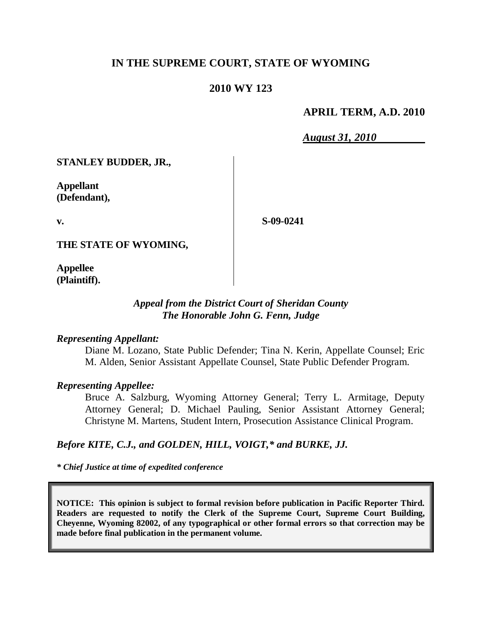## **IN THE SUPREME COURT, STATE OF WYOMING**

### **2010 WY 123**

### **APRIL TERM, A.D. 2010**

*August 31, 2010*

**STANLEY BUDDER, JR.,**

**Appellant (Defendant),**

**v.**

**S-09-0241**

**THE STATE OF WYOMING,**

**Appellee (Plaintiff).**

## *Appeal from the District Court of Sheridan County The Honorable John G. Fenn, Judge*

#### *Representing Appellant:*

Diane M. Lozano, State Public Defender; Tina N. Kerin, Appellate Counsel; Eric M. Alden, Senior Assistant Appellate Counsel, State Public Defender Program.

### *Representing Appellee:*

Bruce A. Salzburg, Wyoming Attorney General; Terry L. Armitage, Deputy Attorney General; D. Michael Pauling, Senior Assistant Attorney General; Christyne M. Martens, Student Intern, Prosecution Assistance Clinical Program.

# *Before KITE, C.J., and GOLDEN, HILL, VOIGT,\* and BURKE, JJ.*

*\* Chief Justice at time of expedited conference*

**NOTICE: This opinion is subject to formal revision before publication in Pacific Reporter Third. Readers are requested to notify the Clerk of the Supreme Court, Supreme Court Building, Cheyenne, Wyoming 82002, of any typographical or other formal errors so that correction may be made before final publication in the permanent volume.**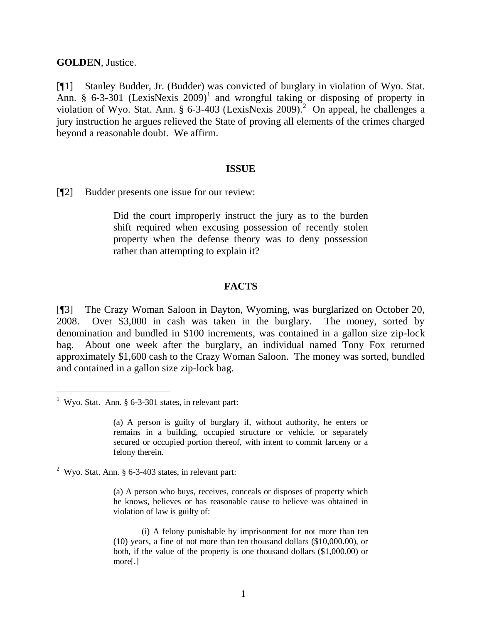#### **GOLDEN**, Justice.

[¶1] Stanley Budder, Jr. (Budder) was convicted of burglary in violation of Wyo. Stat. Ann. § 6-3-301 (LexisNexis  $2009$ <sup>1</sup> and wrongful taking or disposing of property in violation of Wyo. Stat. Ann. § 6-3-403 (LexisNexis 2009). 2 On appeal, he challenges a jury instruction he argues relieved the State of proving all elements of the crimes charged beyond a reasonable doubt. We affirm.

#### **ISSUE**

[¶2] Budder presents one issue for our review:

Did the court improperly instruct the jury as to the burden shift required when excusing possession of recently stolen property when the defense theory was to deny possession rather than attempting to explain it?

### **FACTS**

[¶3] The Crazy Woman Saloon in Dayton, Wyoming, was burglarized on October 20, 2008. Over \$3,000 in cash was taken in the burglary. The money, sorted by denomination and bundled in \$100 increments, was contained in a gallon size zip-lock bag. About one week after the burglary, an individual named Tony Fox returned approximately \$1,600 cash to the Crazy Woman Saloon. The money was sorted, bundled and contained in a gallon size zip-lock bag.

 $\overline{a}$ 

<sup>2</sup> Wyo. Stat. Ann.  $\S$  6-3-403 states, in relevant part:

(a) A person who buys, receives, conceals or disposes of property which he knows, believes or has reasonable cause to believe was obtained in violation of law is guilty of:

<sup>&</sup>lt;sup>1</sup> Wyo. Stat. Ann.  $§$  6-3-301 states, in relevant part:

<sup>(</sup>a) A person is guilty of burglary if, without authority, he enters or remains in a building, occupied structure or vehicle, or separately secured or occupied portion thereof, with intent to commit larceny or a felony therein.

<sup>(</sup>i) A felony punishable by imprisonment for not more than ten (10) years, a fine of not more than ten thousand dollars (\$10,000.00), or both, if the value of the property is one thousand dollars (\$1,000.00) or more[.]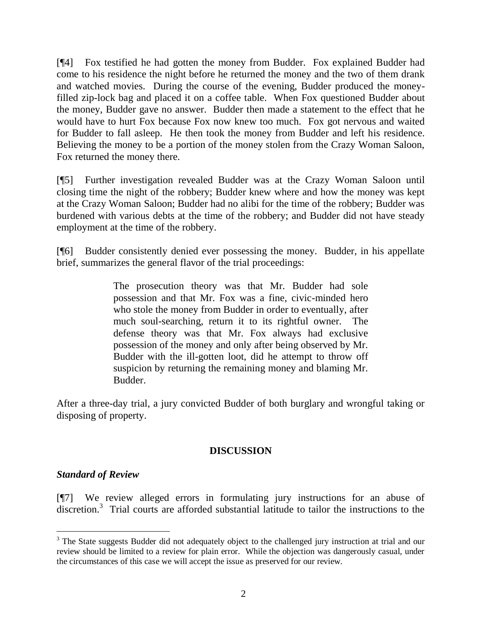[¶4] Fox testified he had gotten the money from Budder. Fox explained Budder had come to his residence the night before he returned the money and the two of them drank and watched movies. During the course of the evening, Budder produced the moneyfilled zip-lock bag and placed it on a coffee table. When Fox questioned Budder about the money, Budder gave no answer. Budder then made a statement to the effect that he would have to hurt Fox because Fox now knew too much. Fox got nervous and waited for Budder to fall asleep. He then took the money from Budder and left his residence. Believing the money to be a portion of the money stolen from the Crazy Woman Saloon, Fox returned the money there.

[¶5] Further investigation revealed Budder was at the Crazy Woman Saloon until closing time the night of the robbery; Budder knew where and how the money was kept at the Crazy Woman Saloon; Budder had no alibi for the time of the robbery; Budder was burdened with various debts at the time of the robbery; and Budder did not have steady employment at the time of the robbery.

[¶6] Budder consistently denied ever possessing the money. Budder, in his appellate brief, summarizes the general flavor of the trial proceedings:

> The prosecution theory was that Mr. Budder had sole possession and that Mr. Fox was a fine, civic-minded hero who stole the money from Budder in order to eventually, after much soul-searching, return it to its rightful owner. The defense theory was that Mr. Fox always had exclusive possession of the money and only after being observed by Mr. Budder with the ill-gotten loot, did he attempt to throw off suspicion by returning the remaining money and blaming Mr. Budder.

After a three-day trial, a jury convicted Budder of both burglary and wrongful taking or disposing of property.

## **DISCUSSION**

## *Standard of Review*

 $\overline{a}$ 

[¶7] We review alleged errors in formulating jury instructions for an abuse of discretion.<sup>3</sup> Trial courts are afforded substantial latitude to tailor the instructions to the

<sup>&</sup>lt;sup>3</sup> The State suggests Budder did not adequately object to the challenged jury instruction at trial and our review should be limited to a review for plain error. While the objection was dangerously casual, under the circumstances of this case we will accept the issue as preserved for our review.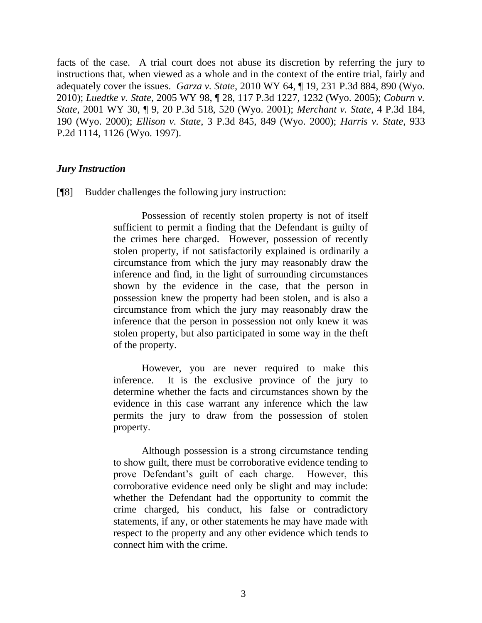facts of the case. A trial court does not abuse its discretion by referring the jury to instructions that, when viewed as a whole and in the context of the entire trial, fairly and adequately cover the issues. *Garza v. State*, 2010 WY 64, ¶ 19, 231 P.3d 884, 890 (Wyo. 2010); *Luedtke v. State*, 2005 WY 98, ¶ 28, 117 P.3d 1227, 1232 (Wyo. 2005); *Coburn v. State*, 2001 WY 30, ¶ 9, 20 P.3d 518, 520 (Wyo. 2001); *Merchant v. State*, 4 P.3d 184, 190 (Wyo. 2000); *Ellison v. State*, 3 P.3d 845, 849 (Wyo. 2000); *Harris v. State*, 933 P.2d 1114, 1126 (Wyo. 1997).

### *Jury Instruction*

[¶8] Budder challenges the following jury instruction:

Possession of recently stolen property is not of itself sufficient to permit a finding that the Defendant is guilty of the crimes here charged. However, possession of recently stolen property, if not satisfactorily explained is ordinarily a circumstance from which the jury may reasonably draw the inference and find, in the light of surrounding circumstances shown by the evidence in the case, that the person in possession knew the property had been stolen, and is also a circumstance from which the jury may reasonably draw the inference that the person in possession not only knew it was stolen property, but also participated in some way in the theft of the property.

However, you are never required to make this inference. It is the exclusive province of the jury to determine whether the facts and circumstances shown by the evidence in this case warrant any inference which the law permits the jury to draw from the possession of stolen property.

Although possession is a strong circumstance tending to show guilt, there must be corroborative evidence tending to prove Defendant's guilt of each charge. However, this corroborative evidence need only be slight and may include: whether the Defendant had the opportunity to commit the crime charged, his conduct, his false or contradictory statements, if any, or other statements he may have made with respect to the property and any other evidence which tends to connect him with the crime.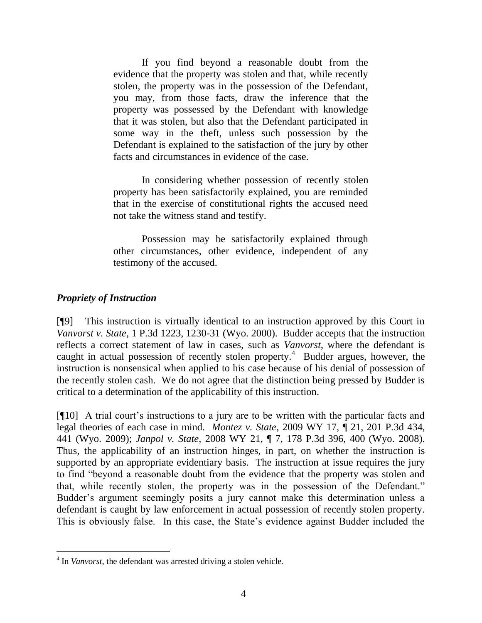If you find beyond a reasonable doubt from the evidence that the property was stolen and that, while recently stolen, the property was in the possession of the Defendant, you may, from those facts, draw the inference that the property was possessed by the Defendant with knowledge that it was stolen, but also that the Defendant participated in some way in the theft, unless such possession by the Defendant is explained to the satisfaction of the jury by other facts and circumstances in evidence of the case.

In considering whether possession of recently stolen property has been satisfactorily explained, you are reminded that in the exercise of constitutional rights the accused need not take the witness stand and testify.

Possession may be satisfactorily explained through other circumstances, other evidence, independent of any testimony of the accused.

### *Propriety of Instruction*

 $\overline{a}$ 

[¶9] This instruction is virtually identical to an instruction approved by this Court in *Vanvorst v. State*, 1 P.3d 1223, 1230-31 (Wyo. 2000). Budder accepts that the instruction reflects a correct statement of law in cases, such as *Vanvorst*, where the defendant is caught in actual possession of recently stolen property.<sup>4</sup> Budder argues, however, the instruction is nonsensical when applied to his case because of his denial of possession of the recently stolen cash. We do not agree that the distinction being pressed by Budder is critical to a determination of the applicability of this instruction.

[¶10] A trial court's instructions to a jury are to be written with the particular facts and legal theories of each case in mind. *Montez v. State*, 2009 WY 17, ¶ 21, 201 P.3d 434, 441 (Wyo. 2009); *Janpol v. State*, 2008 WY 21, ¶ 7, 178 P.3d 396, 400 (Wyo. 2008). Thus, the applicability of an instruction hinges, in part, on whether the instruction is supported by an appropriate evidentiary basis. The instruction at issue requires the jury to find "beyond a reasonable doubt from the evidence that the property was stolen and that, while recently stolen, the property was in the possession of the Defendant." Budder's argument seemingly posits a jury cannot make this determination unless a defendant is caught by law enforcement in actual possession of recently stolen property. This is obviously false. In this case, the State's evidence against Budder included the

<sup>&</sup>lt;sup>4</sup> In *Vanvorst*, the defendant was arrested driving a stolen vehicle.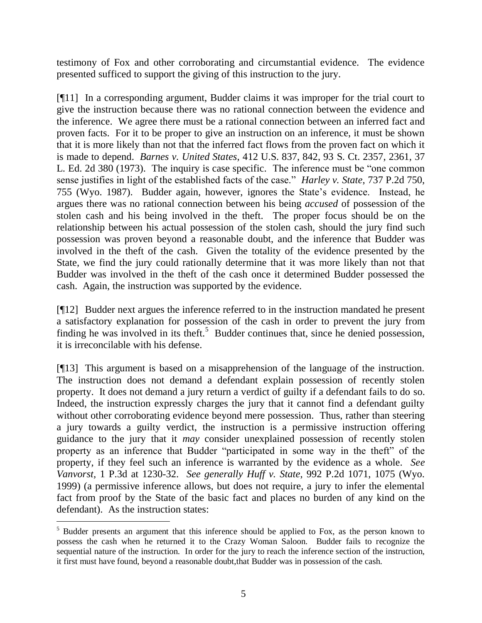testimony of Fox and other corroborating and circumstantial evidence. The evidence presented sufficed to support the giving of this instruction to the jury.

[¶11] In a corresponding argument, Budder claims it was improper for the trial court to give the instruction because there was no rational connection between the evidence and the inference. We agree there must be a rational connection between an inferred fact and proven facts. For it to be proper to give an instruction on an inference, it must be shown that it is more likely than not that the inferred fact flows from the proven fact on which it is made to depend. *Barnes v. United States*, 412 U.S. 837, 842, 93 S. Ct. 2357, 2361, 37 L. Ed. 2d 380 (1973). The inquiry is case specific. The inference must be "one common sense justifies in light of the established facts of the case." *Harley v. State*, 737 P.2d 750, 755 (Wyo. 1987). Budder again, however, ignores the State's evidence. Instead, he argues there was no rational connection between his being *accused* of possession of the stolen cash and his being involved in the theft. The proper focus should be on the relationship between his actual possession of the stolen cash, should the jury find such possession was proven beyond a reasonable doubt, and the inference that Budder was involved in the theft of the cash. Given the totality of the evidence presented by the State, we find the jury could rationally determine that it was more likely than not that Budder was involved in the theft of the cash once it determined Budder possessed the cash. Again, the instruction was supported by the evidence.

[¶12] Budder next argues the inference referred to in the instruction mandated he present a satisfactory explanation for possession of the cash in order to prevent the jury from finding he was involved in its theft.<sup>5</sup> Budder continues that, since he denied possession, it is irreconcilable with his defense.

[¶13] This argument is based on a misapprehension of the language of the instruction. The instruction does not demand a defendant explain possession of recently stolen property. It does not demand a jury return a verdict of guilty if a defendant fails to do so. Indeed, the instruction expressly charges the jury that it cannot find a defendant guilty without other corroborating evidence beyond mere possession. Thus, rather than steering a jury towards a guilty verdict, the instruction is a permissive instruction offering guidance to the jury that it *may* consider unexplained possession of recently stolen property as an inference that Budder "participated in some way in the theft" of the property, if they feel such an inference is warranted by the evidence as a whole. *See Vanvorst,* 1 P.3d at 1230-32. *See generally Huff v. State*, 992 P.2d 1071, 1075 (Wyo. 1999) (a permissive inference allows, but does not require, a jury to infer the elemental fact from proof by the State of the basic fact and places no burden of any kind on the defendant). As the instruction states:

 $\overline{a}$ 

<sup>&</sup>lt;sup>5</sup> Budder presents an argument that this inference should be applied to Fox, as the person known to possess the cash when he returned it to the Crazy Woman Saloon. Budder fails to recognize the sequential nature of the instruction. In order for the jury to reach the inference section of the instruction, it first must have found, beyond a reasonable doubt,that Budder was in possession of the cash.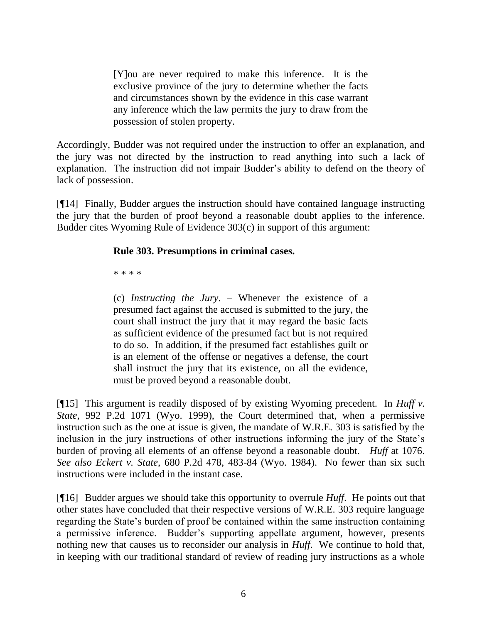[Y]ou are never required to make this inference. It is the exclusive province of the jury to determine whether the facts and circumstances shown by the evidence in this case warrant any inference which the law permits the jury to draw from the possession of stolen property.

Accordingly, Budder was not required under the instruction to offer an explanation, and the jury was not directed by the instruction to read anything into such a lack of explanation. The instruction did not impair Budder's ability to defend on the theory of lack of possession.

[¶14] Finally, Budder argues the instruction should have contained language instructing the jury that the burden of proof beyond a reasonable doubt applies to the inference. Budder cites Wyoming Rule of Evidence 303(c) in support of this argument:

## **Rule 303. Presumptions in criminal cases.**

\* \* \* \*

(c) *Instructing the Jury*. – Whenever the existence of a presumed fact against the accused is submitted to the jury, the court shall instruct the jury that it may regard the basic facts as sufficient evidence of the presumed fact but is not required to do so. In addition, if the presumed fact establishes guilt or is an element of the offense or negatives a defense, the court shall instruct the jury that its existence, on all the evidence, must be proved beyond a reasonable doubt.

[¶15] This argument is readily disposed of by existing Wyoming precedent. In *Huff v. State*, 992 P.2d 1071 (Wyo. 1999), the Court determined that, when a permissive instruction such as the one at issue is given, the mandate of W.R.E. 303 is satisfied by the inclusion in the jury instructions of other instructions informing the jury of the State's burden of proving all elements of an offense beyond a reasonable doubt. *Huff* at 1076. *See also Eckert v. State*, 680 P.2d 478, 483-84 (Wyo. 1984). No fewer than six such instructions were included in the instant case.

[¶16] Budder argues we should take this opportunity to overrule *Huff*. He points out that other states have concluded that their respective versions of W.R.E. 303 require language regarding the State's burden of proof be contained within the same instruction containing a permissive inference. Budder's supporting appellate argument, however, presents nothing new that causes us to reconsider our analysis in *Huff*. We continue to hold that, in keeping with our traditional standard of review of reading jury instructions as a whole